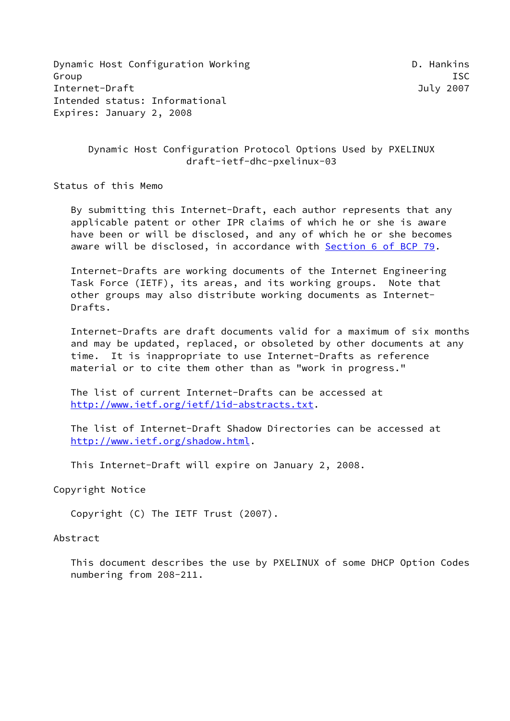Dynamic Host Configuration Working Theorem 2012 Constitution D. Hankins Group ISC Internet-Draft July 2007 Intended status: Informational Expires: January 2, 2008

 Dynamic Host Configuration Protocol Options Used by PXELINUX draft-ietf-dhc-pxelinux-03

Status of this Memo

 By submitting this Internet-Draft, each author represents that any applicable patent or other IPR claims of which he or she is aware have been or will be disclosed, and any of which he or she becomes aware will be disclosed, in accordance with Section [6 of BCP 79.](https://datatracker.ietf.org/doc/pdf/bcp79#section-6)

 Internet-Drafts are working documents of the Internet Engineering Task Force (IETF), its areas, and its working groups. Note that other groups may also distribute working documents as Internet- Drafts.

 Internet-Drafts are draft documents valid for a maximum of six months and may be updated, replaced, or obsoleted by other documents at any time. It is inappropriate to use Internet-Drafts as reference material or to cite them other than as "work in progress."

 The list of current Internet-Drafts can be accessed at <http://www.ietf.org/ietf/1id-abstracts.txt>.

 The list of Internet-Draft Shadow Directories can be accessed at <http://www.ietf.org/shadow.html>.

This Internet-Draft will expire on January 2, 2008.

Copyright Notice

Copyright (C) The IETF Trust (2007).

#### Abstract

 This document describes the use by PXELINUX of some DHCP Option Codes numbering from 208-211.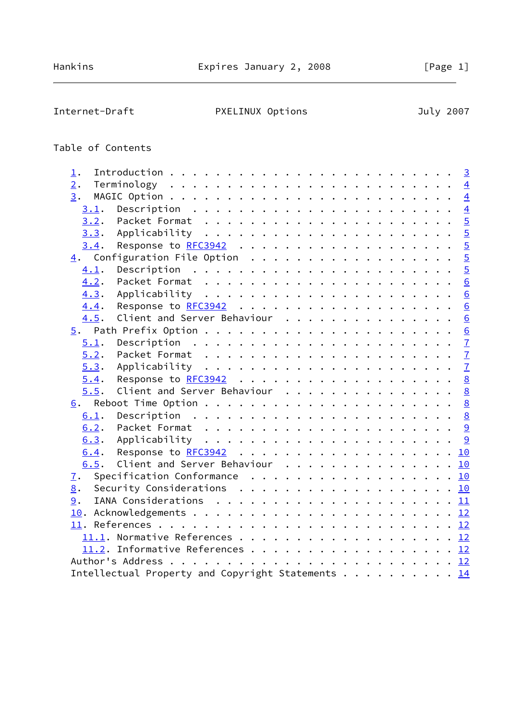# Internet-Draft PXELINUX Options July 2007

# Table of Contents

| $1$ .            |                                                                                       |  |  |  |  |  |  |  |  |  |
|------------------|---------------------------------------------------------------------------------------|--|--|--|--|--|--|--|--|--|
| $\overline{2}$ . |                                                                                       |  |  |  |  |  |  |  |  |  |
| 3.               |                                                                                       |  |  |  |  |  |  |  |  |  |
| 3.1.             |                                                                                       |  |  |  |  |  |  |  |  |  |
| 3.2.             |                                                                                       |  |  |  |  |  |  |  |  |  |
|                  |                                                                                       |  |  |  |  |  |  |  |  |  |
| 3.4.             |                                                                                       |  |  |  |  |  |  |  |  |  |
|                  | $\underline{4}$ . Configuration File Option 5                                         |  |  |  |  |  |  |  |  |  |
| 4.1.             |                                                                                       |  |  |  |  |  |  |  |  |  |
| 4.2.             |                                                                                       |  |  |  |  |  |  |  |  |  |
| 4.3.             |                                                                                       |  |  |  |  |  |  |  |  |  |
| 4.4.             |                                                                                       |  |  |  |  |  |  |  |  |  |
| 4.5.             | Client and Server Behaviour 6                                                         |  |  |  |  |  |  |  |  |  |
|                  |                                                                                       |  |  |  |  |  |  |  |  |  |
| 5.1.             |                                                                                       |  |  |  |  |  |  |  |  |  |
| 5.2.             |                                                                                       |  |  |  |  |  |  |  |  |  |
| 5.3.             |                                                                                       |  |  |  |  |  |  |  |  |  |
| 5.4.             |                                                                                       |  |  |  |  |  |  |  |  |  |
| 5.5.             | Client and Server Behaviour 8                                                         |  |  |  |  |  |  |  |  |  |
|                  |                                                                                       |  |  |  |  |  |  |  |  |  |
| 6.1.             |                                                                                       |  |  |  |  |  |  |  |  |  |
| 6.2.             |                                                                                       |  |  |  |  |  |  |  |  |  |
| 6.3.             |                                                                                       |  |  |  |  |  |  |  |  |  |
| 6.4.             | Response to RFC3942 10                                                                |  |  |  |  |  |  |  |  |  |
| 6.5.             | Client and Server Behaviour 10                                                        |  |  |  |  |  |  |  |  |  |
| $\overline{1}$ . | Specification Conformance 10                                                          |  |  |  |  |  |  |  |  |  |
| 8.               | Security Considerations $\ldots$ 10                                                   |  |  |  |  |  |  |  |  |  |
| 9.               | IANA Considerations $\ldots \ldots \ldots \ldots \ldots \ldots \ldots \underline{11}$ |  |  |  |  |  |  |  |  |  |
|                  |                                                                                       |  |  |  |  |  |  |  |  |  |
|                  |                                                                                       |  |  |  |  |  |  |  |  |  |
|                  |                                                                                       |  |  |  |  |  |  |  |  |  |
|                  | 11.2. Informative References 12                                                       |  |  |  |  |  |  |  |  |  |
|                  |                                                                                       |  |  |  |  |  |  |  |  |  |
|                  | Intellectual Property and Copyright Statements 14                                     |  |  |  |  |  |  |  |  |  |
|                  |                                                                                       |  |  |  |  |  |  |  |  |  |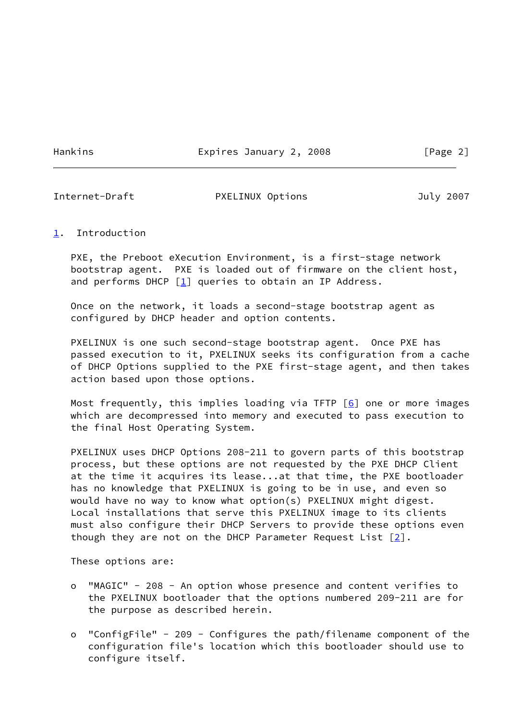Hankins **Expires January 2, 2008** [Page 2]

<span id="page-2-1"></span>

#### Internet-Draft PXELINUX Options July 2007

### <span id="page-2-0"></span>[1](#page-2-0). Introduction

 PXE, the Preboot eXecution Environment, is a first-stage network bootstrap agent. PXE is loaded out of firmware on the client host, and performs DHCP  $[\underline{1}]$  queries to obtain an IP Address.

 Once on the network, it loads a second-stage bootstrap agent as configured by DHCP header and option contents.

 PXELINUX is one such second-stage bootstrap agent. Once PXE has passed execution to it, PXELINUX seeks its configuration from a cache of DHCP Options supplied to the PXE first-stage agent, and then takes action based upon those options.

Most frequently, this implies loading via TFTP  $[6]$  $[6]$  one or more images which are decompressed into memory and executed to pass execution to the final Host Operating System.

 PXELINUX uses DHCP Options 208-211 to govern parts of this bootstrap process, but these options are not requested by the PXE DHCP Client at the time it acquires its lease...at that time, the PXE bootloader has no knowledge that PXELINUX is going to be in use, and even so would have no way to know what option(s) PXELINUX might digest. Local installations that serve this PXELINUX image to its clients must also configure their DHCP Servers to provide these options even though they are not on the DHCP Parameter Request List  $[2]$  $[2]$ .

These options are:

- o "MAGIC" 208 An option whose presence and content verifies to the PXELINUX bootloader that the options numbered 209-211 are for the purpose as described herein.
- o "ConfigFile" 209 Configures the path/filename component of the configuration file's location which this bootloader should use to configure itself.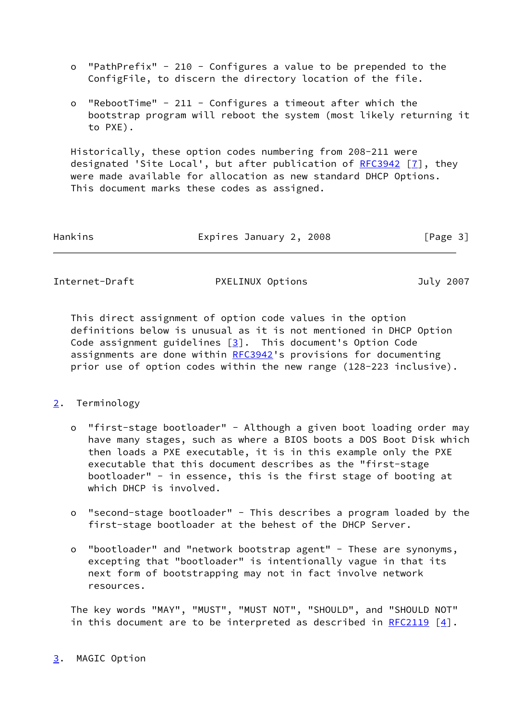- o "PathPrefix" 210 Configures a value to be prepended to the ConfigFile, to discern the directory location of the file.
- o "RebootTime" 211 Configures a timeout after which the bootstrap program will reboot the system (most likely returning it to PXE).

 Historically, these option codes numbering from 208-211 were designated 'Site Local', but after publication of [RFC3942](https://datatracker.ietf.org/doc/pdf/rfc3942) [[7\]](#page-13-2), they were made available for allocation as new standard DHCP Options. This document marks these codes as assigned.

| Hankins | Expires January 2, 2008 | [Page 3] |
|---------|-------------------------|----------|
|         |                         |          |

<span id="page-3-1"></span>Internet-Draft PXELINUX Options July 2007

 This direct assignment of option code values in the option definitions below is unusual as it is not mentioned in DHCP Option Code assignment guidelines  $\boxed{3}$ . This document's Option Code assignments are done within [RFC3942](https://datatracker.ietf.org/doc/pdf/rfc3942)'s provisions for documenting prior use of option codes within the new range (128-223 inclusive).

# <span id="page-3-0"></span>[2](#page-3-0). Terminology

- o "first-stage bootloader" Although a given boot loading order may have many stages, such as where a BIOS boots a DOS Boot Disk which then loads a PXE executable, it is in this example only the PXE executable that this document describes as the "first-stage bootloader" - in essence, this is the first stage of booting at which DHCP is involved.
- o "second-stage bootloader" This describes a program loaded by the first-stage bootloader at the behest of the DHCP Server.
- o "bootloader" and "network bootstrap agent" These are synonyms, excepting that "bootloader" is intentionally vague in that its next form of bootstrapping may not in fact involve network resources.

<span id="page-3-2"></span> The key words "MAY", "MUST", "MUST NOT", "SHOULD", and "SHOULD NOT" in this document are to be interpreted as described in [RFC2119](https://datatracker.ietf.org/doc/pdf/rfc2119)  $[4]$  $[4]$ .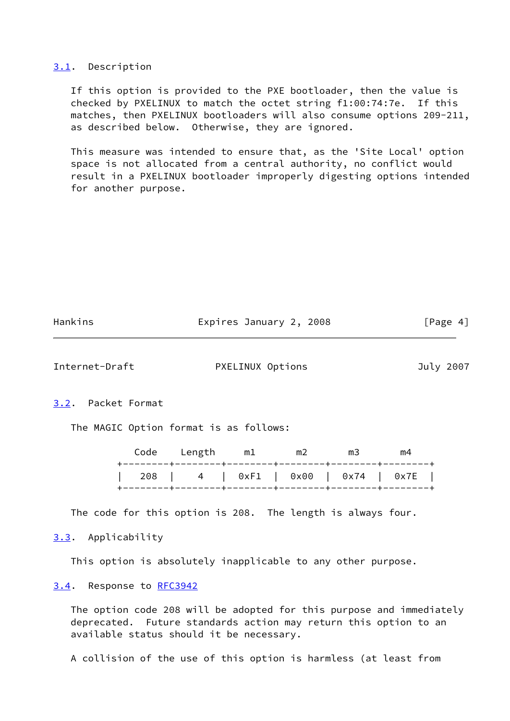#### <span id="page-4-0"></span>[3.1](#page-4-0). Description

 If this option is provided to the PXE bootloader, then the value is checked by PXELINUX to match the octet string f1:00:74:7e. If this matches, then PXELINUX bootloaders will also consume options 209-211, as described below. Otherwise, they are ignored.

 This measure was intended to ensure that, as the 'Site Local' option space is not allocated from a central authority, no conflict would result in a PXELINUX bootloader improperly digesting options intended for another purpose.

<span id="page-4-2"></span>

| Hankins            | Expires January 2, 2008                | [Page 4]  |
|--------------------|----------------------------------------|-----------|
| Internet-Draft     | PXELINUX Options                       | July 2007 |
| 3.2. Packet Format |                                        |           |
|                    | The MAGIC Option format is as follows: |           |

<span id="page-4-1"></span>

|  | Code Length m1 m2 m3 |  |                                     | m4 |  |
|--|----------------------|--|-------------------------------------|----|--|
|  |                      |  | 208   4   0xF1   0x00   0x74   0x7E |    |  |

The code for this option is 208. The length is always four.

<span id="page-4-3"></span>[3.3](#page-4-3). Applicability

This option is absolutely inapplicable to any other purpose.

### <span id="page-4-4"></span>[3.4](#page-4-4). Response to [RFC3942](https://datatracker.ietf.org/doc/pdf/rfc3942)

 The option code 208 will be adopted for this purpose and immediately deprecated. Future standards action may return this option to an available status should it be necessary.

A collision of the use of this option is harmless (at least from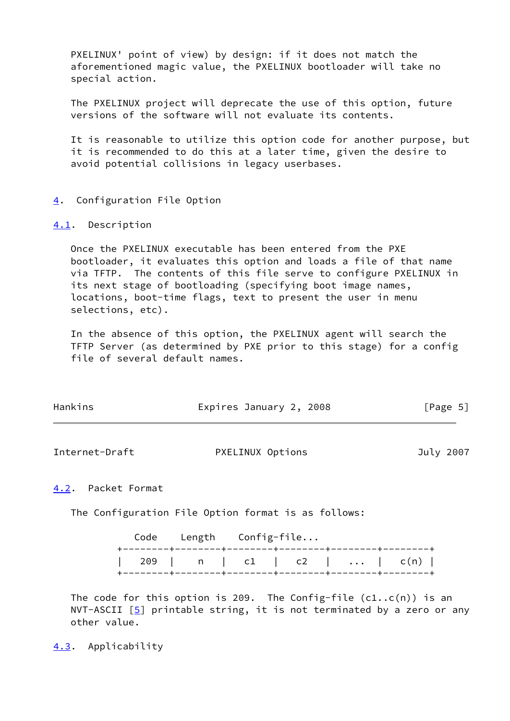PXELINUX' point of view) by design: if it does not match the aforementioned magic value, the PXELINUX bootloader will take no special action.

 The PXELINUX project will deprecate the use of this option, future versions of the software will not evaluate its contents.

 It is reasonable to utilize this option code for another purpose, but it is recommended to do this at a later time, given the desire to avoid potential collisions in legacy userbases.

### <span id="page-5-0"></span>[4](#page-5-0). Configuration File Option

#### <span id="page-5-1"></span>[4.1](#page-5-1). Description

 Once the PXELINUX executable has been entered from the PXE bootloader, it evaluates this option and loads a file of that name via TFTP. The contents of this file serve to configure PXELINUX in its next stage of bootloading (specifying boot image names, locations, boot-time flags, text to present the user in menu selections, etc).

 In the absence of this option, the PXELINUX agent will search the TFTP Server (as determined by PXE prior to this stage) for a config file of several default names.

| Hankins | Expires January 2, 2008 | [Page 5] |
|---------|-------------------------|----------|
|         |                         |          |

<span id="page-5-3"></span>Internet-Draft PXELINUX Options July 2007

### <span id="page-5-2"></span>[4.2](#page-5-2). Packet Format

The Configuration File Option format is as follows:

|  | Code Length Config-file |  |                             |
|--|-------------------------|--|-----------------------------|
|  |                         |  | 209   n   c1   c2      c(n) |

The code for this option is 209. The Config-file  $(cl..c(n))$  is an NVT-ASCII  $[5]$  $[5]$  printable string, it is not terminated by a zero or any other value.

<span id="page-5-4"></span>[4.3](#page-5-4). Applicability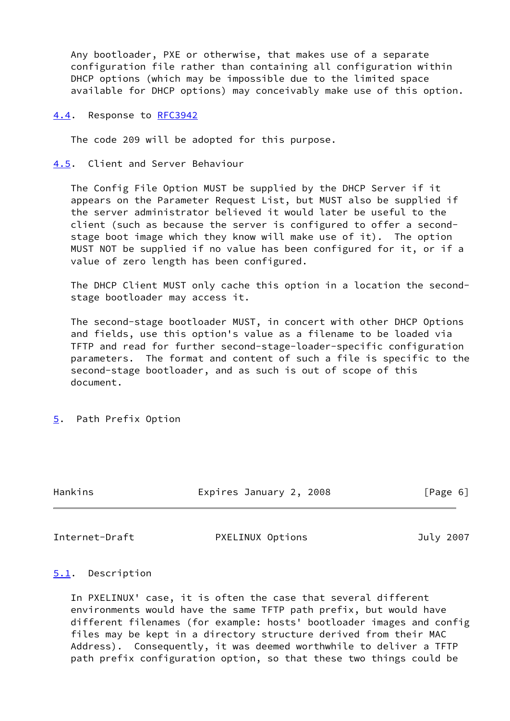Any bootloader, PXE or otherwise, that makes use of a separate configuration file rather than containing all configuration within DHCP options (which may be impossible due to the limited space available for DHCP options) may conceivably make use of this option.

#### <span id="page-6-0"></span>[4.4](#page-6-0). Response to [RFC3942](https://datatracker.ietf.org/doc/pdf/rfc3942)

The code 209 will be adopted for this purpose.

<span id="page-6-1"></span>[4.5](#page-6-1). Client and Server Behaviour

 The Config File Option MUST be supplied by the DHCP Server if it appears on the Parameter Request List, but MUST also be supplied if the server administrator believed it would later be useful to the client (such as because the server is configured to offer a second stage boot image which they know will make use of it). The option MUST NOT be supplied if no value has been configured for it, or if a value of zero length has been configured.

 The DHCP Client MUST only cache this option in a location the second stage bootloader may access it.

 The second-stage bootloader MUST, in concert with other DHCP Options and fields, use this option's value as a filename to be loaded via TFTP and read for further second-stage-loader-specific configuration parameters. The format and content of such a file is specific to the second-stage bootloader, and as such is out of scope of this document.

<span id="page-6-2"></span>[5](#page-6-2). Path Prefix Option

Hankins Expires January 2, 2008 [Page 6]

<span id="page-6-4"></span>Internet-Draft PXELINUX Options July 2007

# <span id="page-6-3"></span>[5.1](#page-6-3). Description

 In PXELINUX' case, it is often the case that several different environments would have the same TFTP path prefix, but would have different filenames (for example: hosts' bootloader images and config files may be kept in a directory structure derived from their MAC Address). Consequently, it was deemed worthwhile to deliver a TFTP path prefix configuration option, so that these two things could be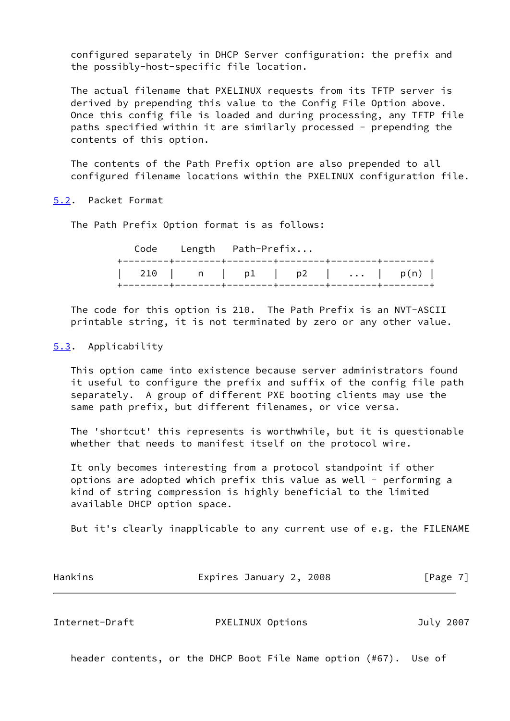configured separately in DHCP Server configuration: the prefix and the possibly-host-specific file location.

 The actual filename that PXELINUX requests from its TFTP server is derived by prepending this value to the Config File Option above. Once this config file is loaded and during processing, any TFTP file paths specified within it are similarly processed - prepending the contents of this option.

 The contents of the Path Prefix option are also prepended to all configured filename locations within the PXELINUX configuration file.

# <span id="page-7-0"></span>[5.2](#page-7-0). Packet Format

The Path Prefix Option format is as follows:

|  | Code Length Path-Prefix |  |                             |
|--|-------------------------|--|-----------------------------|
|  |                         |  | 210   n   p1   p2      p(n) |

 The code for this option is 210. The Path Prefix is an NVT-ASCII printable string, it is not terminated by zero or any other value.

# <span id="page-7-1"></span>[5.3](#page-7-1). Applicability

 This option came into existence because server administrators found it useful to configure the prefix and suffix of the config file path separately. A group of different PXE booting clients may use the same path prefix, but different filenames, or vice versa.

 The 'shortcut' this represents is worthwhile, but it is questionable whether that needs to manifest itself on the protocol wire.

 It only becomes interesting from a protocol standpoint if other options are adopted which prefix this value as well - performing a kind of string compression is highly beneficial to the limited available DHCP option space.

But it's clearly inapplicable to any current use of e.g. the FILENAME

| Hankins | Expires January 2, 2008 | [Page 7] |  |
|---------|-------------------------|----------|--|
|         |                         |          |  |

<span id="page-7-2"></span>

| Internet-Draft | PXELINUX Options | July 2007 |
|----------------|------------------|-----------|
|----------------|------------------|-----------|

header contents, or the DHCP Boot File Name option (#67). Use of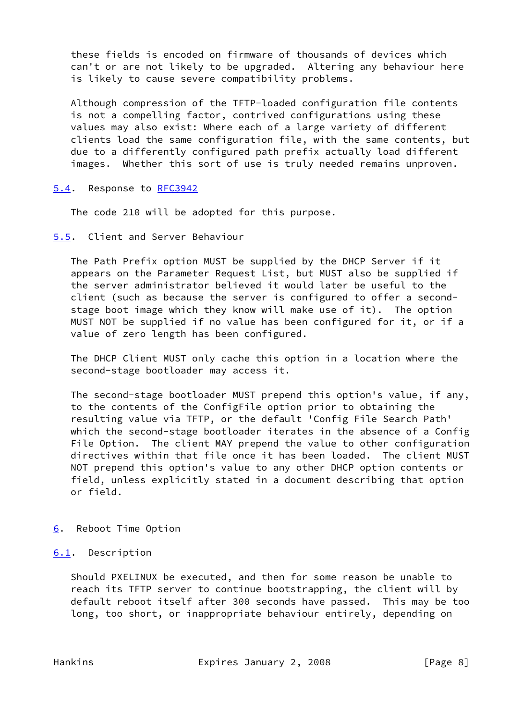these fields is encoded on firmware of thousands of devices which can't or are not likely to be upgraded. Altering any behaviour here is likely to cause severe compatibility problems.

 Although compression of the TFTP-loaded configuration file contents is not a compelling factor, contrived configurations using these values may also exist: Where each of a large variety of different clients load the same configuration file, with the same contents, but due to a differently configured path prefix actually load different images. Whether this sort of use is truly needed remains unproven.

<span id="page-8-0"></span>[5.4](#page-8-0). Response to [RFC3942](https://datatracker.ietf.org/doc/pdf/rfc3942)

The code 210 will be adopted for this purpose.

<span id="page-8-1"></span>[5.5](#page-8-1). Client and Server Behaviour

 The Path Prefix option MUST be supplied by the DHCP Server if it appears on the Parameter Request List, but MUST also be supplied if the server administrator believed it would later be useful to the client (such as because the server is configured to offer a second stage boot image which they know will make use of it). The option MUST NOT be supplied if no value has been configured for it, or if a value of zero length has been configured.

 The DHCP Client MUST only cache this option in a location where the second-stage bootloader may access it.

 The second-stage bootloader MUST prepend this option's value, if any, to the contents of the ConfigFile option prior to obtaining the resulting value via TFTP, or the default 'Config File Search Path' which the second-stage bootloader iterates in the absence of a Config File Option. The client MAY prepend the value to other configuration directives within that file once it has been loaded. The client MUST NOT prepend this option's value to any other DHCP option contents or field, unless explicitly stated in a document describing that option or field.

- <span id="page-8-2"></span>[6](#page-8-2). Reboot Time Option
- <span id="page-8-3"></span>[6.1](#page-8-3). Description

 Should PXELINUX be executed, and then for some reason be unable to reach its TFTP server to continue bootstrapping, the client will by default reboot itself after 300 seconds have passed. This may be too long, too short, or inappropriate behaviour entirely, depending on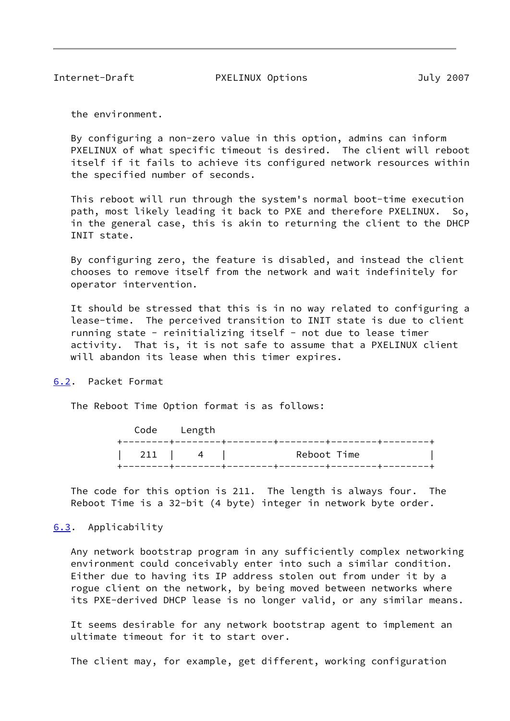<span id="page-9-1"></span>Internet-Draft PXELINUX Options July 2007

the environment.

 By configuring a non-zero value in this option, admins can inform PXELINUX of what specific timeout is desired. The client will reboot itself if it fails to achieve its configured network resources within the specified number of seconds.

 This reboot will run through the system's normal boot-time execution path, most likely leading it back to PXE and therefore PXELINUX. So, in the general case, this is akin to returning the client to the DHCP INIT state.

 By configuring zero, the feature is disabled, and instead the client chooses to remove itself from the network and wait indefinitely for operator intervention.

 It should be stressed that this is in no way related to configuring a lease-time. The perceived transition to INIT state is due to client running state - reinitializing itself - not due to lease timer activity. That is, it is not safe to assume that a PXELINUX client will abandon its lease when this timer expires.

<span id="page-9-0"></span>[6.2](#page-9-0). Packet Format

The Reboot Time Option format is as follows:

|  | Code Length |                                                                                |  |
|--|-------------|--------------------------------------------------------------------------------|--|
|  |             | Reboot Time<br>$\begin{array}{ c c c c c c c c } \hline \end{array}$ ( 211   4 |  |

 The code for this option is 211. The length is always four. The Reboot Time is a 32-bit (4 byte) integer in network byte order.

### <span id="page-9-2"></span>[6.3](#page-9-2). Applicability

 Any network bootstrap program in any sufficiently complex networking environment could conceivably enter into such a similar condition. Either due to having its IP address stolen out from under it by a rogue client on the network, by being moved between networks where its PXE-derived DHCP lease is no longer valid, or any similar means.

 It seems desirable for any network bootstrap agent to implement an ultimate timeout for it to start over.

The client may, for example, get different, working configuration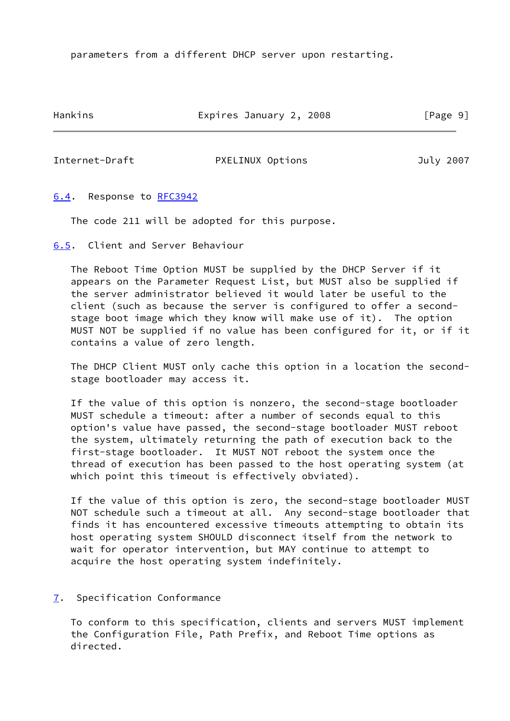parameters from a different DHCP server upon restarting.

Hankins **Expires January 2, 2008** [Page 9]

# <span id="page-10-1"></span>Internet-Draft PXELINUX Options July 2007

# <span id="page-10-0"></span>[6.4](#page-10-0). Response to [RFC3942](https://datatracker.ietf.org/doc/pdf/rfc3942)

The code 211 will be adopted for this purpose.

<span id="page-10-2"></span>[6.5](#page-10-2). Client and Server Behaviour

 The Reboot Time Option MUST be supplied by the DHCP Server if it appears on the Parameter Request List, but MUST also be supplied if the server administrator believed it would later be useful to the client (such as because the server is configured to offer a second stage boot image which they know will make use of it). The option MUST NOT be supplied if no value has been configured for it, or if it contains a value of zero length.

 The DHCP Client MUST only cache this option in a location the second stage bootloader may access it.

 If the value of this option is nonzero, the second-stage bootloader MUST schedule a timeout: after a number of seconds equal to this option's value have passed, the second-stage bootloader MUST reboot the system, ultimately returning the path of execution back to the first-stage bootloader. It MUST NOT reboot the system once the thread of execution has been passed to the host operating system (at which point this timeout is effectively obviated).

 If the value of this option is zero, the second-stage bootloader MUST NOT schedule such a timeout at all. Any second-stage bootloader that finds it has encountered excessive timeouts attempting to obtain its host operating system SHOULD disconnect itself from the network to wait for operator intervention, but MAY continue to attempt to acquire the host operating system indefinitely.

# <span id="page-10-3"></span>[7](#page-10-3). Specification Conformance

 To conform to this specification, clients and servers MUST implement the Configuration File, Path Prefix, and Reboot Time options as directed.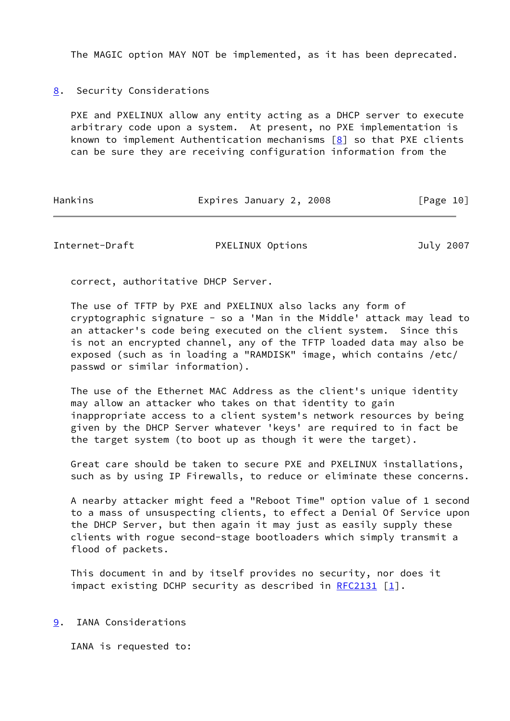The MAGIC option MAY NOT be implemented, as it has been deprecated.

<span id="page-11-0"></span>[8](#page-11-0). Security Considerations

 PXE and PXELINUX allow any entity acting as a DHCP server to execute arbitrary code upon a system. At present, no PXE implementation is known to implement Authentication mechanisms  $[8]$  so that PXE clients can be sure they are receiving configuration information from the

Hankins **Expires January 2, 2008** [Page 10]

<span id="page-11-2"></span>Internet-Draft PXELINUX Options July 2007

correct, authoritative DHCP Server.

 The use of TFTP by PXE and PXELINUX also lacks any form of cryptographic signature - so a 'Man in the Middle' attack may lead to an attacker's code being executed on the client system. Since this is not an encrypted channel, any of the TFTP loaded data may also be exposed (such as in loading a "RAMDISK" image, which contains /etc/ passwd or similar information).

 The use of the Ethernet MAC Address as the client's unique identity may allow an attacker who takes on that identity to gain inappropriate access to a client system's network resources by being given by the DHCP Server whatever 'keys' are required to in fact be the target system (to boot up as though it were the target).

 Great care should be taken to secure PXE and PXELINUX installations, such as by using IP Firewalls, to reduce or eliminate these concerns.

 A nearby attacker might feed a "Reboot Time" option value of 1 second to a mass of unsuspecting clients, to effect a Denial Of Service upon the DHCP Server, but then again it may just as easily supply these clients with rogue second-stage bootloaders which simply transmit a flood of packets.

 This document in and by itself provides no security, nor does it impact existing DCHP security as described in  $RFC2131$  [[1\]](#page-12-4).

<span id="page-11-1"></span>[9](#page-11-1). IANA Considerations

IANA is requested to: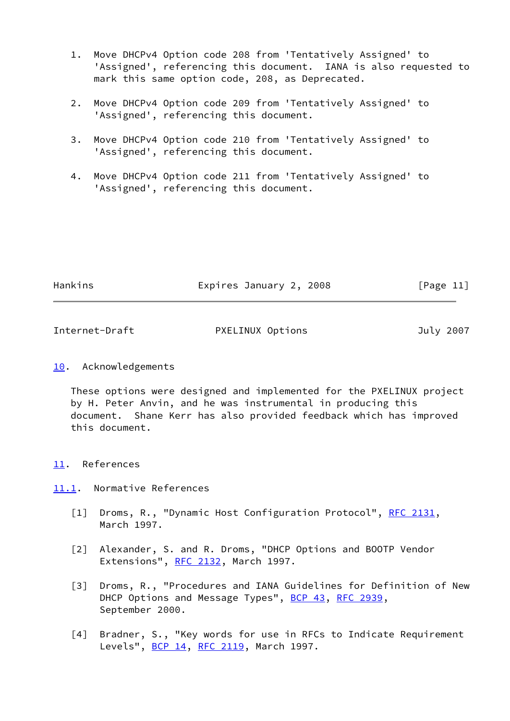- 1. Move DHCPv4 Option code 208 from 'Tentatively Assigned' to 'Assigned', referencing this document. IANA is also requested to mark this same option code, 208, as Deprecated.
- 2. Move DHCPv4 Option code 209 from 'Tentatively Assigned' to 'Assigned', referencing this document.
- 3. Move DHCPv4 Option code 210 from 'Tentatively Assigned' to 'Assigned', referencing this document.
- 4. Move DHCPv4 Option code 211 from 'Tentatively Assigned' to 'Assigned', referencing this document.

| Hankins | Expires January 2, 2008 | [Page 11] |
|---------|-------------------------|-----------|
|         |                         |           |

<span id="page-12-1"></span>

| Internet-Draft | PXELINUX Options | July 2007 |
|----------------|------------------|-----------|
|                |                  |           |

# <span id="page-12-0"></span>[10.](#page-12-0) Acknowledgements

 These options were designed and implemented for the PXELINUX project by H. Peter Anvin, and he was instrumental in producing this document. Shane Kerr has also provided feedback which has improved this document.

# <span id="page-12-2"></span>[11.](#page-12-2) References

# <span id="page-12-3"></span>[11.1](#page-12-3). Normative References

- <span id="page-12-4"></span>[1] Droms, R., "Dynamic Host Configuration Protocol", [RFC 2131,](https://datatracker.ietf.org/doc/pdf/rfc2131) March 1997.
- <span id="page-12-5"></span> [2] Alexander, S. and R. Droms, "DHCP Options and BOOTP Vendor Extensions", [RFC 2132](https://datatracker.ietf.org/doc/pdf/rfc2132), March 1997.
- <span id="page-12-6"></span> [3] Droms, R., "Procedures and IANA Guidelines for Definition of New DHCP Options and Message Types", [BCP 43](https://datatracker.ietf.org/doc/pdf/bcp43), [RFC 2939](https://datatracker.ietf.org/doc/pdf/rfc2939), September 2000.
- <span id="page-12-7"></span> [4] Bradner, S., "Key words for use in RFCs to Indicate Requirement Levels", **BCP 14, [RFC 2119](https://datatracker.ietf.org/doc/pdf/rfc2119)**, March 1997.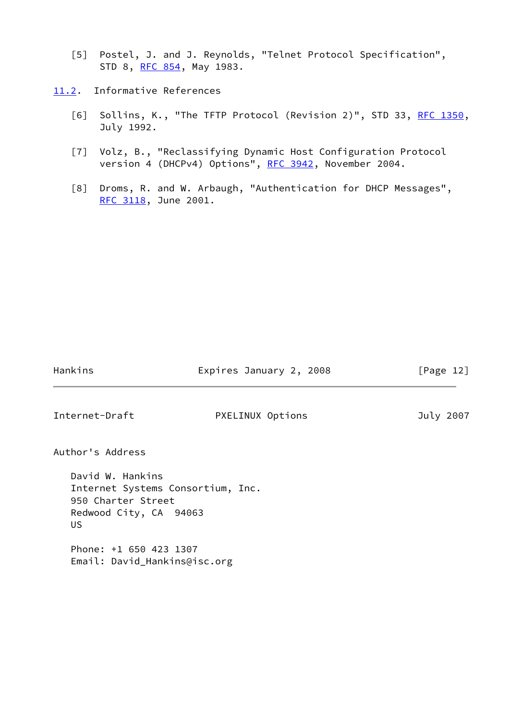- <span id="page-13-3"></span> [5] Postel, J. and J. Reynolds, "Telnet Protocol Specification", STD 8, [RFC 854,](https://datatracker.ietf.org/doc/pdf/rfc854) May 1983.
- <span id="page-13-4"></span><span id="page-13-2"></span><span id="page-13-1"></span><span id="page-13-0"></span>[11.2](#page-13-0). Informative References
	- [6] Sollins, K., "The TFTP Protocol (Revision 2)", STD 33, [RFC 1350,](https://datatracker.ietf.org/doc/pdf/rfc1350) July 1992.
	- [7] Volz, B., "Reclassifying Dynamic Host Configuration Protocol version 4 (DHCPv4) Options", [RFC 3942](https://datatracker.ietf.org/doc/pdf/rfc3942), November 2004.
	- [8] Droms, R. and W. Arbaugh, "Authentication for DHCP Messages", [RFC 3118](https://datatracker.ietf.org/doc/pdf/rfc3118), June 2001.

Hankins **Expires January 2, 2008** [Page 12] Internet-Draft PXELINUX Options July 2007 Author's Address David W. Hankins Internet Systems Consortium, Inc. 950 Charter Street Redwood City, CA 94063 US

 Phone: +1 650 423 1307 Email: David\_Hankins@isc.org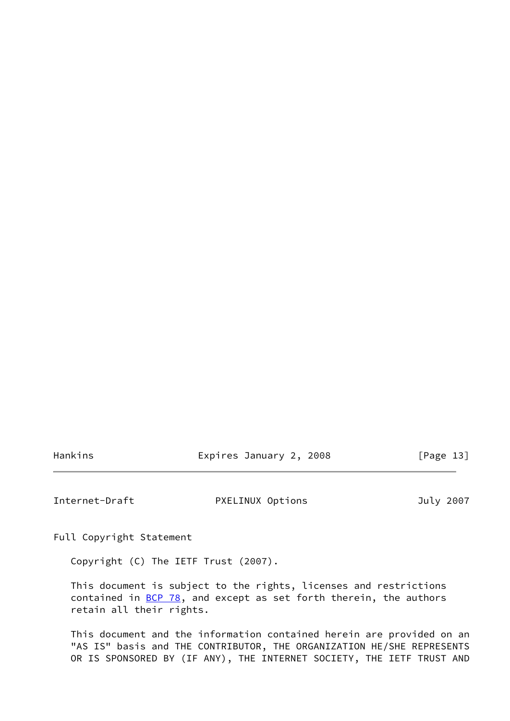Hankins **Expires January 2, 2008** [Page 13]

<span id="page-14-0"></span>Internet-Draft PXELINUX Options July 2007

Full Copyright Statement

Copyright (C) The IETF Trust (2007).

 This document is subject to the rights, licenses and restrictions contained in  $\underline{BCP}$  78, and except as set forth therein, the authors retain all their rights.

 This document and the information contained herein are provided on an "AS IS" basis and THE CONTRIBUTOR, THE ORGANIZATION HE/SHE REPRESENTS OR IS SPONSORED BY (IF ANY), THE INTERNET SOCIETY, THE IETF TRUST AND